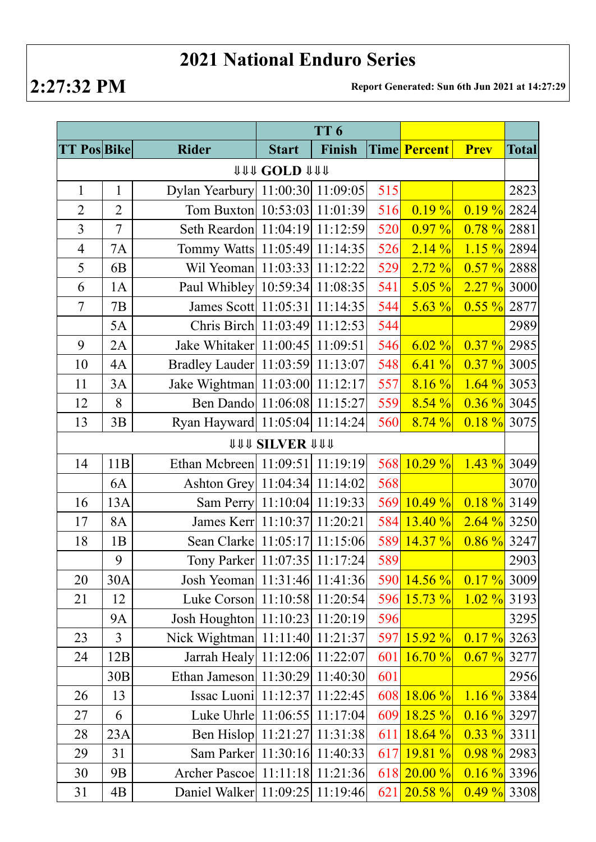## **2021 National Enduro Series**

**2:27:32 PM Report Generated: Sun 6th Jun 2021 at 14:27:29**

|                      |                |                                      | TT <sub>6</sub>              |                       |     |               |                |              |  |  |  |
|----------------------|----------------|--------------------------------------|------------------------------|-----------------------|-----|---------------|----------------|--------------|--|--|--|
| <b>TT Pos Bike</b>   |                | <b>Rider</b>                         | <b>Start</b>                 | Finish                |     | Time Percent  | <b>Prev</b>    | <b>Total</b> |  |  |  |
| <b>111 COLD 1111</b> |                |                                      |                              |                       |     |               |                |              |  |  |  |
| $\mathbf{1}$         | $\mathbf{1}$   | Dylan Yearbury 11:00:30 11:09:05     |                              |                       | 515 |               |                | 2823         |  |  |  |
| $\overline{2}$       | $\overline{2}$ | Tom Buxton 10:53:03 11:01:39         |                              |                       | 516 | 0.19%         | 0.19%          | 2824         |  |  |  |
| $\overline{3}$       | $\overline{7}$ | Seth Reardon 11:04:19 11:12:59       |                              |                       | 520 | 0.97 %        | $0.78 \%$      | 2881         |  |  |  |
| $\overline{4}$       | <b>7A</b>      | Tommy Watts 11:05:49 11:14:35        |                              |                       | 526 | 2.14%         | $1.15 \%$ 2894 |              |  |  |  |
| 5                    | 6 <sub>B</sub> | Wil Yeoman 11:03:33 11:12:22         |                              |                       | 529 | 2.72%         | $0.57 \%$      | 2888         |  |  |  |
| 6                    | 1A             | Paul Whibley 10:59:34 11:08:35       |                              |                       | 541 | $5.05 \%$     | 2.27%          | 3000         |  |  |  |
| $\overline{7}$       | 7B             | James Scott   11:05:31   11:14:35    |                              |                       | 544 | $5.63\%$      | $0.55 \%$      | 2877         |  |  |  |
|                      | 5A             | Chris Birch 11:03:49 11:12:53        |                              |                       | 544 |               |                | 2989         |  |  |  |
| 9                    | 2A             | Jake Whitaker   11:00:45   11:09:51  |                              |                       | 546 | 6.02%         | $0.37 \%$      | 2985         |  |  |  |
| 10                   | 4A             | Bradley Lauder   11:03:59   11:13:07 |                              |                       | 548 | 6.41%         | $0.37 \%$ 3005 |              |  |  |  |
| 11                   | 3A             | Jake Wightman   11:03:00   11:12:17  |                              |                       | 557 | 8.16%         | $1.64 \%$ 3053 |              |  |  |  |
| 12                   | 8              | Ben Dando 11:06:08 11:15:27          |                              |                       | 559 | 8.54%         | $0.36 \%$ 3045 |              |  |  |  |
| 13                   | 3B             | Ryan Hayward 11:05:04 11:14:24       |                              |                       | 560 | 8.74%         | $0.18 \%$ 3075 |              |  |  |  |
|                      |                |                                      | <b><i>UUU SILVER UUU</i></b> |                       |     |               |                |              |  |  |  |
| 14                   | 11B            | Ethan Mcbreen 11:09:51 11:19:19      |                              |                       | 568 | 10.29 %       | $1.43\%$       | 3049         |  |  |  |
|                      | 6A             | Ashton Grey   11:04:34   11:14:02    |                              |                       | 568 |               |                | 3070         |  |  |  |
| 16                   | 13A            | Sam Perry 11:10:04 11:19:33          |                              |                       | 569 | $10.49 \%$    | $0.18 \%$      | 3149         |  |  |  |
| 17                   | 8A             | James Kerr 11:10:37 11:20:21         |                              |                       | 584 | 13.40%        | $2.64\%$ 3250  |              |  |  |  |
| 18                   | 1B             | Sean Clarke   11:05:17   11:15:06    |                              |                       | 589 | $14.37\%$     | $0.86 \%$ 3247 |              |  |  |  |
|                      | 9              | Tony Parker   11:07:35   11:17:24    |                              |                       | 589 |               |                | 2903         |  |  |  |
| 20                   | 30A            | Josh Yeoman 11:31:46 11:41:36        |                              |                       | 590 | $14.56\%$     | $0.17 \%$ 3009 |              |  |  |  |
| 21                   | 12             | Luke Corson 11:10:58 11:20:54        |                              |                       | 596 | $15.73 \%$    | $1.02 \%$ 3193 |              |  |  |  |
|                      | <b>9A</b>      | Josh Houghton 11:10:23 11:20:19      |                              |                       | 596 |               |                | 3295         |  |  |  |
| 23                   | $\overline{3}$ | Nick Wightman   11:11:40   11:21:37  |                              |                       | 597 | $15.92\%$     | $0.17 \%$      | 3263         |  |  |  |
| 24                   | 12B            | Jarrah Healy 11:12:06 11:22:07       |                              |                       | 601 | 16.70%        | 0.67%          | 3277         |  |  |  |
|                      | 30B            | Ethan Jameson 11:30:29 11:40:30      |                              |                       | 601 |               |                | 2956         |  |  |  |
| 26                   | 13             | Issac Luoni   11:12:37   11:22:45    |                              |                       | 608 | $18.06\%$     | $1.16 \%$ 3384 |              |  |  |  |
| 27                   | 6              | Luke Uhrle 11:06:55 11:17:04         |                              |                       | 609 | $18.25 \%$    | $0.16 \%$ 3297 |              |  |  |  |
| 28                   | 23A            | Ben Hislop 11:21:27 11:31:38         |                              |                       | 611 | 18.64%        | $0.33 \%$ 3311 |              |  |  |  |
| 29                   | 31             | Sam Parker 11:30:16 11:40:33         |                              |                       | 617 | 19.81%        | $0.98\%$ 2983  |              |  |  |  |
| 30                   | 9 <sub>B</sub> | Archer Pascoe                        |                              | $11:11:18$ $11:21:36$ |     | $618$ 20.00 % | $0.16 \%$ 3396 |              |  |  |  |
| 31                   | 4B             | Daniel Walker 11:09:25 11:19:46      |                              |                       |     | $621$ 20.58 % | $0.49 \%$ 3308 |              |  |  |  |